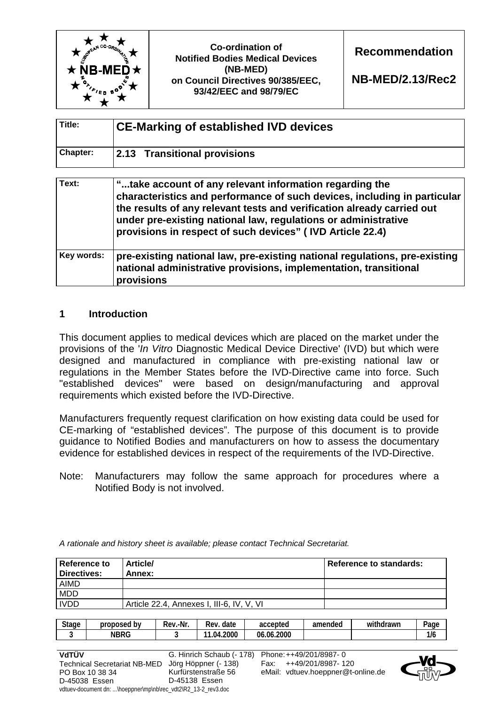

**NB-MED/2.13/Rec2** 

| Title:   | <b>CE-Marking of established IVD devices</b> |  |  |  |  |
|----------|----------------------------------------------|--|--|--|--|
| Chapter: | 2.13 Transitional provisions                 |  |  |  |  |

| Text:      | "take account of any relevant information regarding the<br>characteristics and performance of such devices, including in particular<br>the results of any relevant tests and verification already carried out<br>under pre-existing national law, regulations or administrative<br>provisions in respect of such devices" (IVD Article 22.4) |  |  |  |  |
|------------|----------------------------------------------------------------------------------------------------------------------------------------------------------------------------------------------------------------------------------------------------------------------------------------------------------------------------------------------|--|--|--|--|
| Key words: | pre-existing national law, pre-existing national regulations, pre-existing<br>national administrative provisions, implementation, transitional<br>provisions                                                                                                                                                                                 |  |  |  |  |

## **1 Introduction**

This document applies to medical devices which are placed on the market under the provisions of the '*In Vitro* Diagnostic Medical Device Directive' (IVD) but which were designed and manufactured in compliance with pre-existing national law or regulations in the Member States before the IVD-Directive came into force. Such "established devices" were based on design/manufacturing and approval requirements which existed before the IVD-Directive.

Manufacturers frequently request clarification on how existing data could be used for CE-marking of "established devices". The purpose of this document is to provide guidance to Notified Bodies and manufacturers on how to assess the documentary evidence for established devices in respect of the requirements of the IVD-Directive.

Note: Manufacturers may follow the same approach for procedures where a Notified Body is not involved.

| <b>Reference to</b><br>Directives: | <b>Article/</b><br>Annex:                 | <b>Reference to standards:</b> |
|------------------------------------|-------------------------------------------|--------------------------------|
| <b>AIMD</b>                        |                                           |                                |
| <b>MDD</b>                         |                                           |                                |
| <b>IVDD</b>                        | Article 22.4, Annexes I, III-6, IV, V, VI |                                |

*A rationale and history sheet is available; please contact Technical Secretariat.* 

| <b>Stage</b><br>. . | proposed by | Rev.<br>≀.-Nr | date<br>Rev   | accepted           | amended | .<br>with.<br>drawn | -<br>Page |
|---------------------|-------------|---------------|---------------|--------------------|---------|---------------------|-----------|
|                     | <b>NBRG</b> |               | 4.2000<br>.04 | .2000<br>06<br>.06 |         |                     | 1/t       |



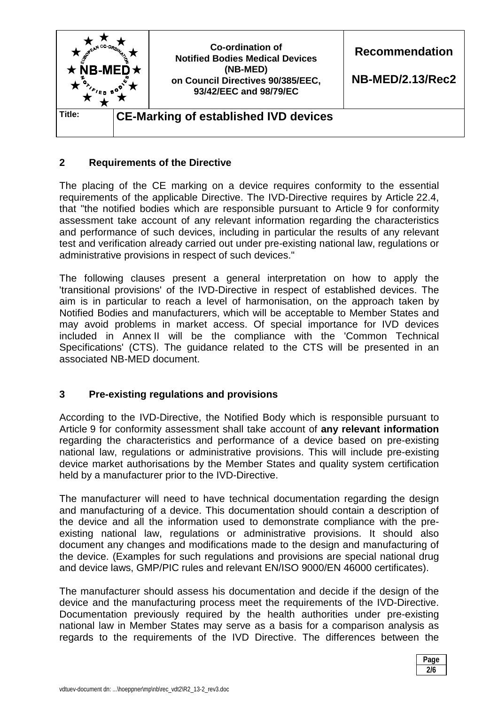

## **2 Requirements of the Directive**

The placing of the CE marking on a device requires conformity to the essential requirements of the applicable Directive. The IVD-Directive requires by Article 22.4, that "the notified bodies which are responsible pursuant to Article 9 for conformity assessment take account of any relevant information regarding the characteristics and performance of such devices, including in particular the results of any relevant test and verification already carried out under pre-existing national law, regulations or administrative provisions in respect of such devices."

The following clauses present a general interpretation on how to apply the 'transitional provisions' of the IVD-Directive in respect of established devices. The aim is in particular to reach a level of harmonisation, on the approach taken by Notified Bodies and manufacturers, which will be acceptable to Member States and may avoid problems in market access. Of special importance for IVD devices included in Annex II will be the compliance with the 'Common Technical Specifications' (CTS). The guidance related to the CTS will be presented in an associated NB-MED document.

# **3 Pre-existing regulations and provisions**

According to the IVD-Directive, the Notified Body which is responsible pursuant to Article 9 for conformity assessment shall take account of **any relevant information** regarding the characteristics and performance of a device based on pre-existing national law, regulations or administrative provisions. This will include pre-existing device market authorisations by the Member States and quality system certification held by a manufacturer prior to the IVD-Directive.

The manufacturer will need to have technical documentation regarding the design and manufacturing of a device. This documentation should contain a description of the device and all the information used to demonstrate compliance with the preexisting national law, regulations or administrative provisions. It should also document any changes and modifications made to the design and manufacturing of the device. (Examples for such regulations and provisions are special national drug and device laws, GMP/PIC rules and relevant EN/ISO 9000/EN 46000 certificates).

The manufacturer should assess his documentation and decide if the design of the device and the manufacturing process meet the requirements of the IVD-Directive. Documentation previously required by the health authorities under pre-existing national law in Member States may serve as a basis for a comparison analysis as regards to the requirements of the IVD Directive. The differences between the

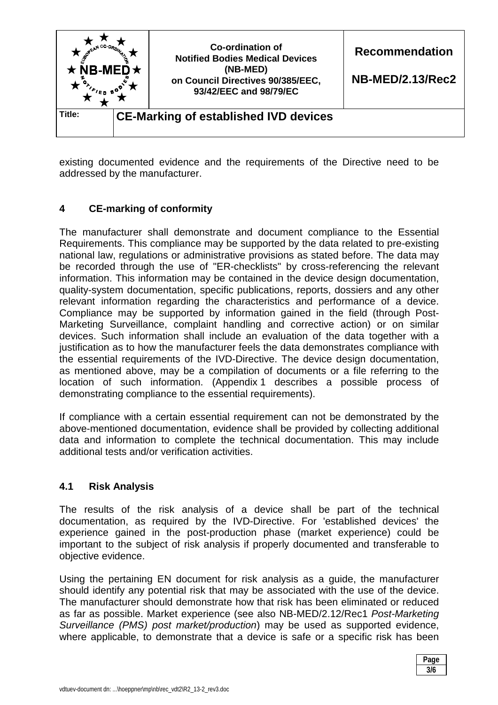

existing documented evidence and the requirements of the Directive need to be addressed by the manufacturer.

# **4 CE-marking of conformity**

The manufacturer shall demonstrate and document compliance to the Essential Requirements. This compliance may be supported by the data related to pre-existing national law, regulations or administrative provisions as stated before. The data may be recorded through the use of "ER-checklists" by cross-referencing the relevant information. This information may be contained in the device design documentation, quality-system documentation, specific publications, reports, dossiers and any other relevant information regarding the characteristics and performance of a device. Compliance may be supported by information gained in the field (through Post-Marketing Surveillance, complaint handling and corrective action) or on similar devices. Such information shall include an evaluation of the data together with a justification as to how the manufacturer feels the data demonstrates compliance with the essential requirements of the IVD-Directive. The device design documentation, as mentioned above, may be a compilation of documents or a file referring to the location of such information. (Appendix 1 describes a possible process of demonstrating compliance to the essential requirements).

If compliance with a certain essential requirement can not be demonstrated by the above-mentioned documentation, evidence shall be provided by collecting additional data and information to complete the technical documentation. This may include additional tests and/or verification activities.

#### **4.1 Risk Analysis**

The results of the risk analysis of a device shall be part of the technical documentation, as required by the IVD-Directive. For 'established devices' the experience gained in the post-production phase (market experience) could be important to the subject of risk analysis if properly documented and transferable to objective evidence.

Using the pertaining EN document for risk analysis as a guide, the manufacturer should identify any potential risk that may be associated with the use of the device. The manufacturer should demonstrate how that risk has been eliminated or reduced as far as possible. Market experience (see also NB-MED/2.12/Rec1 *Post-Marketing Surveillance (PMS) post market/production*) may be used as supported evidence, where applicable, to demonstrate that a device is safe or a specific risk has been

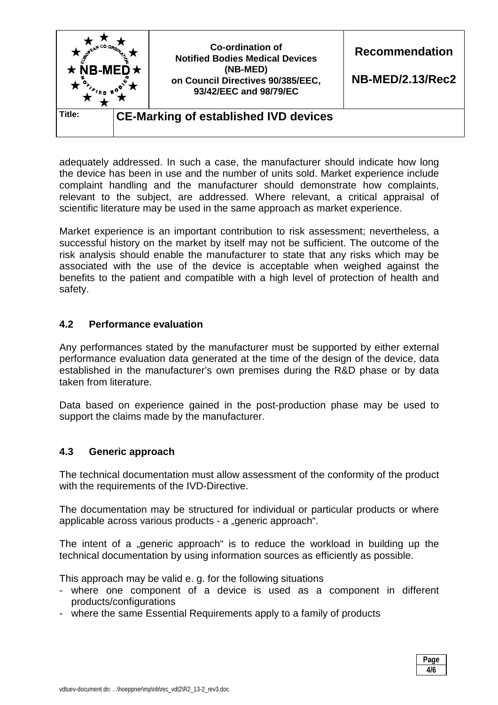

adequately addressed. In such a case, the manufacturer should indicate how long the device has been in use and the number of units sold. Market experience include complaint handling and the manufacturer should demonstrate how complaints, relevant to the subject, are addressed. Where relevant, a critical appraisal of scientific literature may be used in the same approach as market experience.

Market experience is an important contribution to risk assessment; nevertheless, a successful history on the market by itself may not be sufficient. The outcome of the risk analysis should enable the manufacturer to state that any risks which may be associated with the use of the device is acceptable when weighed against the benefits to the patient and compatible with a high level of protection of health and safety.

## **4.2 Performance evaluation**

Any performances stated by the manufacturer must be supported by either external performance evaluation data generated at the time of the design of the device, data established in the manufacturer's own premises during the R&D phase or by data taken from literature.

Data based on experience gained in the post-production phase may be used to support the claims made by the manufacturer.

# **4.3 Generic approach**

The technical documentation must allow assessment of the conformity of the product with the requirements of the IVD-Directive.

The documentation may be structured for individual or particular products or where applicable across various products - a "generic approach".

The intent of a "generic approach" is to reduce the workload in building up the technical documentation by using information sources as efficiently as possible.

This approach may be valid e. g. for the following situations

- where one component of a device is used as a component in different products/configurations
- where the same Essential Requirements apply to a family of products

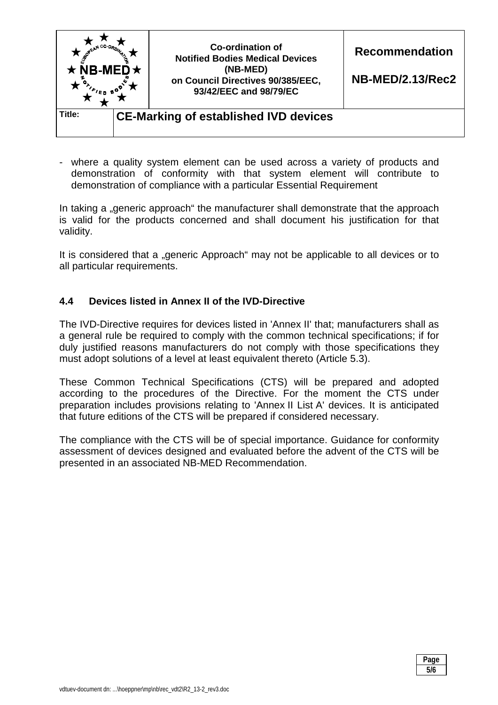

- where a quality system element can be used across a variety of products and demonstration of conformity with that system element will contribute to demonstration of compliance with a particular Essential Requirement

In taking a "generic approach" the manufacturer shall demonstrate that the approach is valid for the products concerned and shall document his justification for that validity.

It is considered that a "generic Approach" may not be applicable to all devices or to all particular requirements.

# **4.4 Devices listed in Annex II of the IVD-Directive**

The IVD-Directive requires for devices listed in 'Annex II' that; manufacturers shall as a general rule be required to comply with the common technical specifications; if for duly justified reasons manufacturers do not comply with those specifications they must adopt solutions of a level at least equivalent thereto (Article 5.3).

These Common Technical Specifications (CTS) will be prepared and adopted according to the procedures of the Directive. For the moment the CTS under preparation includes provisions relating to 'Annex II List A' devices. It is anticipated that future editions of the CTS will be prepared if considered necessary.

The compliance with the CTS will be of special importance. Guidance for conformity assessment of devices designed and evaluated before the advent of the CTS will be presented in an associated NB-MED Recommendation.

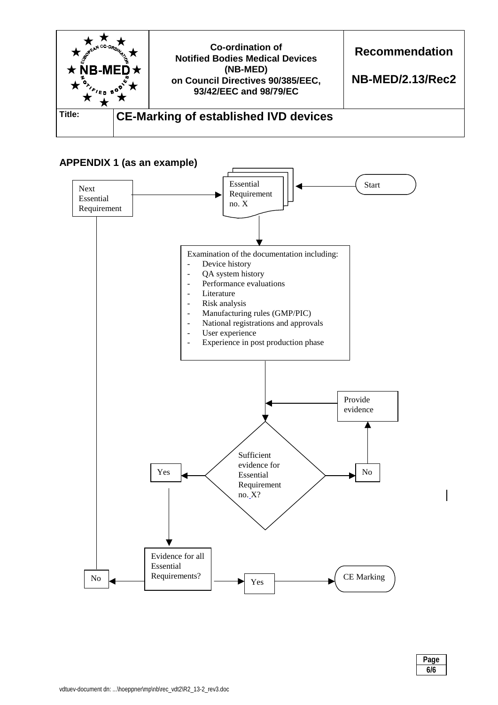

#### **APPENDIX 1 (as an example)**